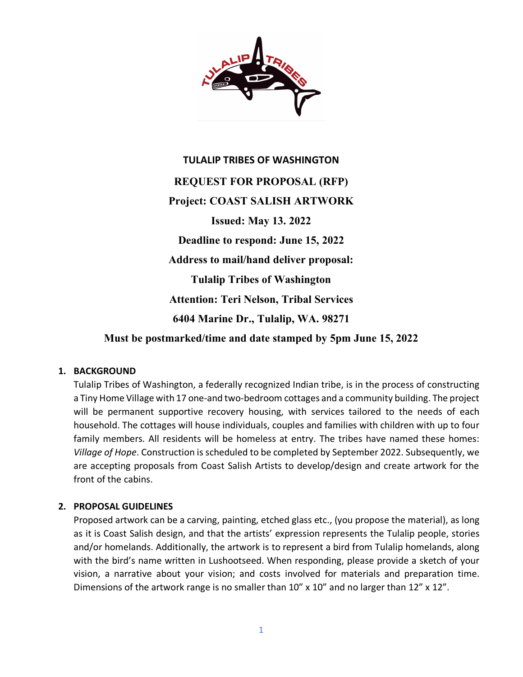

# **TULALIP TRIBES OF WASHINGTON REQUEST FOR PROPOSAL (RFP) Project: COAST SALISH ARTWORK Issued: May 13. 2022 Deadline to respond: June 15, 2022 Address to mail/hand deliver proposal: Tulalip Tribes of Washington Attention: Teri Nelson, Tribal Services 6404 Marine Dr., Tulalip, WA. 98271 Must be postmarked/time and date stamped by 5pm June 15, 2022**

#### **1. BACKGROUND**

Tulalip Tribes of Washington, a federally recognized Indian tribe, is in the process of constructing a Tiny Home Village with 17 one-and two-bedroom cottages and a community building. The project will be permanent supportive recovery housing, with services tailored to the needs of each household. The cottages will house individuals, couples and families with children with up to four family members. All residents will be homeless at entry. The tribes have named these homes: *Village of Hope*. Construction is scheduled to be completed by September 2022. Subsequently, we are accepting proposals from Coast Salish Artists to develop/design and create artwork for the front of the cabins.

#### **2. PROPOSAL GUIDELINES**

Proposed artwork can be a carving, painting, etched glass etc., (you propose the material), as long as it is Coast Salish design, and that the artists' expression represents the Tulalip people, stories and/or homelands. Additionally, the artwork is to represent a bird from Tulalip homelands, along with the bird's name written in Lushootseed. When responding, please provide a sketch of your vision, a narrative about your vision; and costs involved for materials and preparation time. Dimensions of the artwork range is no smaller than 10" x 10" and no larger than 12" x 12".